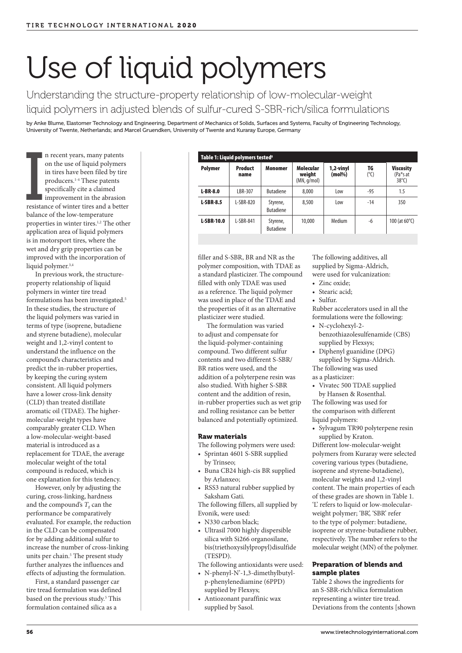# Use of liquid polymers

Understanding the structure-property relationship of low-molecular-weight liquid polymers in adjusted blends of sulfur-cured S-SBR-rich/silica formulations

by Anke Blume, Elastomer Technology and Engineering, Department of Mechanics of Solids, Surfaces and Systems, Faculty of Engineering Technology, University of Twente, Netherlands; and Marcel Gruendken, University of Twente and Kuraray Europe, Germany

**IVERSITE** n recent years, many patents on the use of liquid polymers in tires have been filed by tire producers.1-4 These patents specifically cite a claimed **improvement** in the abrasion resistance of winter tires and a better balance of the low-temperature properties in winter tires.<sup>1,2</sup> The other application area of liquid polymers is in motorsport tires, where the wet and dry grip properties can be improved with the incorporation of liquid polymer.3,4

In previous work, the structureproperty relationship of liquid polymers in winter tire tread formulations has been investigated.<sup>5</sup> In these studies, the structure of the liquid polymers was varied in terms of type (isoprene, butadiene and styrene butadiene), molecular weight and 1,2-vinyl content to understand the influence on the compound's characteristics and predict the in-rubber properties, by keeping the curing system consistent. All liquid polymers have a lower cross-link density (CLD) than treated distillate aromatic oil (TDAE). The highermolecular-weight types have comparably greater CLD. When a low-molecular-weight-based material is introduced as a replacement for TDAE, the average molecular weight of the total compound is reduced, which is one explanation for this tendency.

However, only by adjusting the curing, cross-linking, hardness and the compound's  $T_g$  can the performance be comparatively evaluated. For example, the reduction in the CLD can be compensated for by adding additional sulfur to increase the number of cross-linking units per chain.<sup>5</sup> The present study further analyzes the influences and effects of adjusting the formulation.

First, a standard passenger car tire tread formulation was defined based on the previous study.<sup>5</sup> This formulation contained silica as a

| Table 1: Liquid polymers tested <sup>8</sup> |                        |                              |                                           |                        |                     |                                                 |  |
|----------------------------------------------|------------------------|------------------------------|-------------------------------------------|------------------------|---------------------|-------------------------------------------------|--|
| <b>Polymer</b>                               | <b>Product</b><br>name | Monomer                      | <b>Molecular</b><br>weight<br>(MN, q/mol) | 1,2-vinyl<br>$(mol\%)$ | TG<br>$(^{\circ}C)$ | <b>Viscosity</b><br>(Pa*s at<br>$38^{\circ}$ C) |  |
| $L-BR-8.0$                                   | LBR-307                | <b>Butadiene</b>             | 8,000                                     | Low                    | $-95$               | 1.5                                             |  |
| <b>L-SBR-8.5</b>                             | $L-SBR-820$            | Styrene,<br><b>Butadiene</b> | 8,500                                     | Low                    | $-14$               | 350                                             |  |
| <b>L-SBR-10.0</b>                            | L-SBR-841              | Styrene,<br><b>Butadiene</b> | 10,000                                    | Medium                 | -6                  | 100 (at $60^{\circ}$ C)                         |  |

filler and S-SBR, BR and NR as the polymer composition, with TDAE as a standard plasticizer. The compound filled with only TDAE was used as a reference. The liquid polymer was used in place of the TDAE and the properties of it as an alternative plasticizer were studied.

The formulation was varied to adjust and compensate for the liquid-polymer-containing compound. Two different sulfur contents and two different S-SBR/ BR ratios were used, and the addition of a polyterpene resin was also studied. With higher S-SBR content and the addition of resin, in-rubber properties such as wet grip and rolling resistance can be better balanced and potentially optimized.

# Raw materials

- The following polymers were used: • Sprintan 4601 S-SBR supplied
- by Trinseo; • Buna CB24 high-cis BR supplied
- by Arlanxeo; • RSS3 natural rubber supplied by
- Saksham Gati.

The following fillers, all supplied by Evonik, were used:

- N330 carbon black;
- Ultrasil 7000 highly dispersible silica with Si266 organosilane, bis(triethoxysilylpropyl)disulfide (TESPD).

The following antioxidants were used:

- N-phenyl-N'-1,3-dimethylbutylp-phenylenediamine (6PPD) supplied by Flexsys;
- Antiozonant paraffinic wax supplied by Sasol.

The following additives, all supplied by Sigma-Aldrich, were used for vulcanization:

- Zinc oxide;
- Stearic acid;
- Sulfur.

Rubber accelerators used in all the formulations were the following:

- N-cyclohexyl-2 benzothiazolesulfenamide (CBS) supplied by Flexsys;
- Diphenyl guanidine (DPG) supplied by Sigma-Aldrich. The following was used as a plasticizer:
- Vivatec 500 TDAE supplied by Hansen & Rosenthal.

The following was used for the comparison with different liquid polymers:

• Sylvagum TR90 polyterpene resin supplied by Kraton.

Different low-molecular-weight polymers from Kuraray were selected covering various types (butadiene, isoprene and styrene-butadiene), molecular weights and 1,2-vinyl content. The main properties of each of these grades are shown in Table 1. 'L' refers to liquid or low-molecularweight polymer; 'BR', 'SBR' refer to the type of polymer: butadiene, isoprene or styrene-butadiene rubber, respectively. The number refers to the molecular weight (MN) of the polymer.

# Preparation of blends and sample plates

Table 2 shows the ingredients for an S-SBR-rich/silica formulation representing a winter tire tread. Deviations from the contents [shown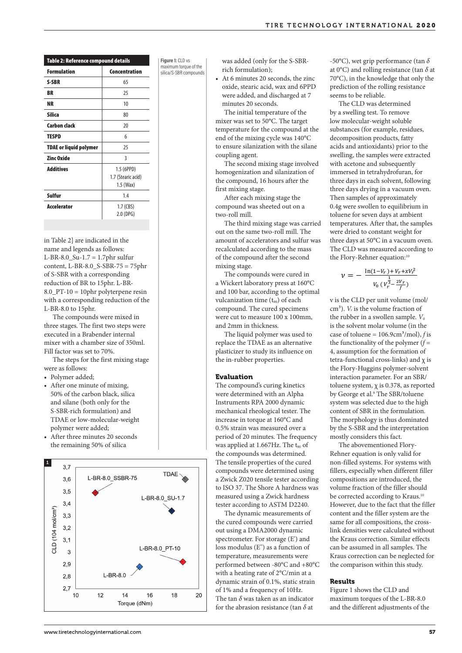| TIRE TECHNOLOGY INTERNATIONAL 2020 |  |  |
|------------------------------------|--|--|
|------------------------------------|--|--|

| Table 2: Reference compound details |                    |  |  |  |
|-------------------------------------|--------------------|--|--|--|
| <b>Formulation</b>                  | Concentration      |  |  |  |
| S-SBR                               | 65                 |  |  |  |
| <b>BR</b>                           | 25                 |  |  |  |
| <b>NR</b>                           | 10                 |  |  |  |
| <b>Silica</b>                       | 80                 |  |  |  |
| <b>Carbon clack</b>                 | 20                 |  |  |  |
| <b>TESPD</b>                        | 6                  |  |  |  |
| <b>TDAE or liquid polymer</b>       | 25                 |  |  |  |
| <b>Zinc Oxide</b>                   | 3                  |  |  |  |
| <b>Additives</b>                    | 1.5 (6PPD)         |  |  |  |
|                                     | 1.7 (Stearic acid) |  |  |  |
|                                     | $1.5$ (Wax)        |  |  |  |
| Sulfur                              | 1.4                |  |  |  |
| <b>Accelerator</b>                  | $1.7$ (CBS)        |  |  |  |
|                                     | 2.0 (DPG)          |  |  |  |

in Table 2] are indicated in the name and legends as follows: L-BR-8.0\_Su-1.7 = 1.7phr sulfur content, L-BR-8.0\_S-SBR-75 = 75phr of S-SBR with a corresponding reduction of BR to 15phr. L-BR-8.0\_PT-10 = 10phr polyterpene resin with a corresponding reduction of the L-BR-8.0 to 15phr.

The compounds were mixed in three stages. The first two steps were executed in a Brabender internal mixer with a chamber size of 350ml. Fill factor was set to 70%.

The steps for the first mixing stage were as follows:

• Polymer added;

- After one minute of mixing, 50% of the carbon black, silica and silane (both only for the S-SBR-rich formulation) and TDAE or low-molecular-weight polymer were added;
- After three minutes 20 seconds the remaining 50% of silica



**Figure 1:** CLD vs maximum torque of the silica/S-SBR compounds was added (only for the S-SBRrich formulation);

• At 6 minutes 20 seconds, the zinc oxide, stearic acid, wax and 6PPD were added, and discharged at 7 minutes 20 seconds.

The initial temperature of the mixer was set to 50°C. The target temperature for the compound at the end of the mixing cycle was 140°C to ensure silanization with the silane coupling agent.

The second mixing stage involved homogenization and silanization of the compound, 16 hours after the first mixing stage.

After each mixing stage the compound was sheeted out on a two-roll mill.

The third mixing stage was carried out on the same two-roll mill. The amount of accelerators and sulfur was recalculated according to the mass of the compound after the second mixing stage.

The compounds were cured in a Wickert laboratory press at 160°C and 100 bar, according to the optimal vulcanization time (t<sub>90</sub>) of each compound. The cured specimens were cut to measure 100 x 100mm, and 2mm in thickness.

The liquid polymer was used to replace the TDAE as an alternative plasticizer to study its influence on the in-rubber properties.

## Evaluation

The compound's curing kinetics were determined with an Alpha Instruments RPA 2000 dynamic mechanical rheological tester. The increase in torque at 160°C and 0.5% strain was measured over a period of 20 minutes. The frequency was applied at  $1.667$  Hz. The t<sub>90</sub> of the compounds was determined. The tensile properties of the cured compounds were determined using a Zwick Z020 tensile tester according to ISO 37. The Shore A hardness was measured using a Zwick hardness tester according to ASTM D2240.

The dynamic measurements of the cured compounds were carried out using a DMA2000 dynamic spectrometer. For storage (E') and loss modulus (E'') as a function of temperature, measurements were performed between -80°C and +80°C with a heating rate of 2°C/min at a dynamic strain of 0.1%, static strain of 1% and a frequency of 10Hz. The tan  $\delta$  was taken as an indicator for the abrasion resistance (tan *б* at  $\frac{1}{2}$  $W$ , sulfur content to  $\mathbf{R}$  in  $\mathbf{R}$ 

-50°C), wet grip performance (tan *б* at 0°C) and rolling resistance (tan *б* at 70°C), in the knowledge that only the prediction of the rolling resistance seems to be reliable.

The CLD was determined by a swelling test. To remove low molecular-weight soluble substances (for example, residues, decomposition products, fatty acids and antioxidants) prior to the swelling, the samples were extracted with acetone and subsequently immersed in tetrahydrofuran, for three days in each solvent, following three days drying in a vacuum oven. Then samples of approximately 0.4g were swollen to equilibrium in toluene for seven days at ambient temperatures. After that, the samples were dried to constant weight for three days at 50°C in a vacuum oven. The CLD was measured according to the Flory-Rehner equation:<sup>10</sup>

$$
\nu = -\frac{\ln(1-V_r) + V_r + xV_r^2}{V_0 \left(V_r^{\frac{1}{3}} - \frac{2V_r}{f}\right)}
$$

of each v is the CLD per unit volume (mol/  $\frac{1}{x}$  or  $\frac{1}{x}$  the rubber in a swollen sample. *V*<sub>0</sub> is the solvent molar volume (*in* the was used to case of toluene =  $106.9 \text{cm}^3/\text{mol}$ , *f* is  $\int$ nfluence on  $\int$  4, assumption for the formation of tetra-functional cross-links) and  $\chi$  is the morphology is the morphology is the morphology is the morphology is the morphology is the morphology is the morphology is the morphology is the morphology is the morphology i the Flory-Huggins polymer-solvent  $R$ s kinetics toluene system,  $\chi$  is 0.378, as reported of are in Alpha by George et al.<sup>9</sup> The SBR/toluene dynamic system was selected due to the high tester. The component of SBR in the formulation.<br>0°C and The morphology is thus dominated  $\text{red over a}$  by the S-SBR and the interpretation he frequency mostly considers this fact. cm<sup>3</sup>).  $V_r$  is the volume fraction of the functionality of the polymer  $(f =$ interaction parameter. For an SBR/ content of SBR in the formulation.

ster according compositions are introduced, the k hardness be corrected according to Kraus.<sup>10</sup> 'M D2240. However, due to the fact that the filler rements of content and the filler system are the densities the light polymer blends. The fact that the fact that the fact that the fact that the fact that the fact that the fact that the fact that the fact that the fact that the fact that the fact that the fact that the ge (E') and the Kraus correction. Similar effects iunction of our can be assumed in all samples. The nents were Kraus correction can be neglected for The abovementioned Flory-Rehner equation is only valid for non-filled systems. For systems with fillers, especially when different filler volume fraction of the filler should same for all compositions, the crossthe comparison within this study.

#### Results

an indicator maximum torques of the L-BR-8.0 nce (tan  $\delta$  at and the different adjustments of the Figure 1 shows the CLD and